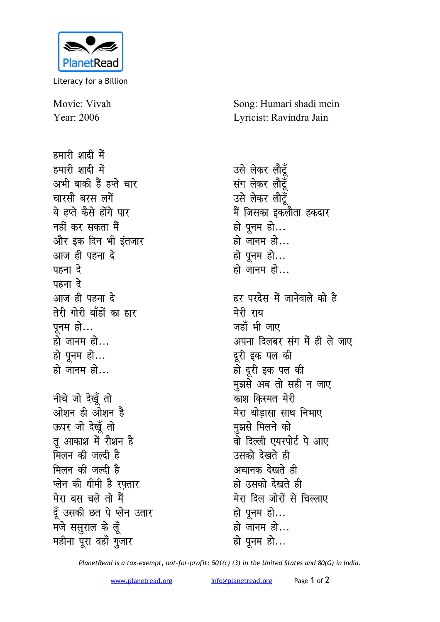

Literacy for a Billion

Movie: Vivah Year: 2006

हमारी शादी में हमारी शादी में अभी बाकी हैं हप्ते चार <u>चारसौ बरस लगें</u> ये हप्ते कैसे होंगे पार **नहीं कर सकता मैं** <u>और इक दिन भी इंतजार</u> <u>आज ही पहना दे</u> पहना *दे* पहना *दे* <u>आज ही पहना दे</u> तेरी गोरी बाँहों का **हा**र पनम हो... हो जानम हो... हो पूनम हो... हो जानम हो... **नीचे** जो देखूँ तो <u>ओशन ही ओशन है</u> *ऊपर जो देखूँ तो* तू आकाश में रौशन ह<del>ै</del> <u>मिलन की जल्दी है</u> मिलन की जल्दी है **प्लेन की धीमी है रफ़्तार** मेरा बस चले तो मैं <u>दूँ</u> उसकी छत पे प्लेन उतार मजे ससुराल के लूँ **महीना पूरा वहाँ गुजार** 

Song: Humari shadi mein Lyricist: Ravindra Jain

उसे लेकर लौटूँ **संग लेकर लौटूँ** उसे लेकर लौटूँ मैं जिसका इकलौता हकदार हो पूनम हो... हो जानम हो... हो पुनम हो... हो जानम हो...

हर परदेस में जानेवाले को है मेरी राय जहाँ भी जाए अपना दिलबर संग में ही ले जाए दूरी इक पल की हो दूरी इक पल की **मुझसे अब तो सही न जाए** काश किस्मत मेरी **मेरा थोड़ासा साथ निभाए मुझसे** मिलने को <u>वो दिल्ली एयरपोर्ट पे आए</u> उसको देखते ह<u>ी</u> अचानक देखते **ही** हो उसको देखते ह<u>ी</u> **मेरा दिल जोरों से चिल्लाए** हो पूनम हो... हो जानम हो… हो पूनम हो...

*PlanetRead is a tax-exempt, not-for-profit: 501(c) (3) in the United States and 80(G) in India.*